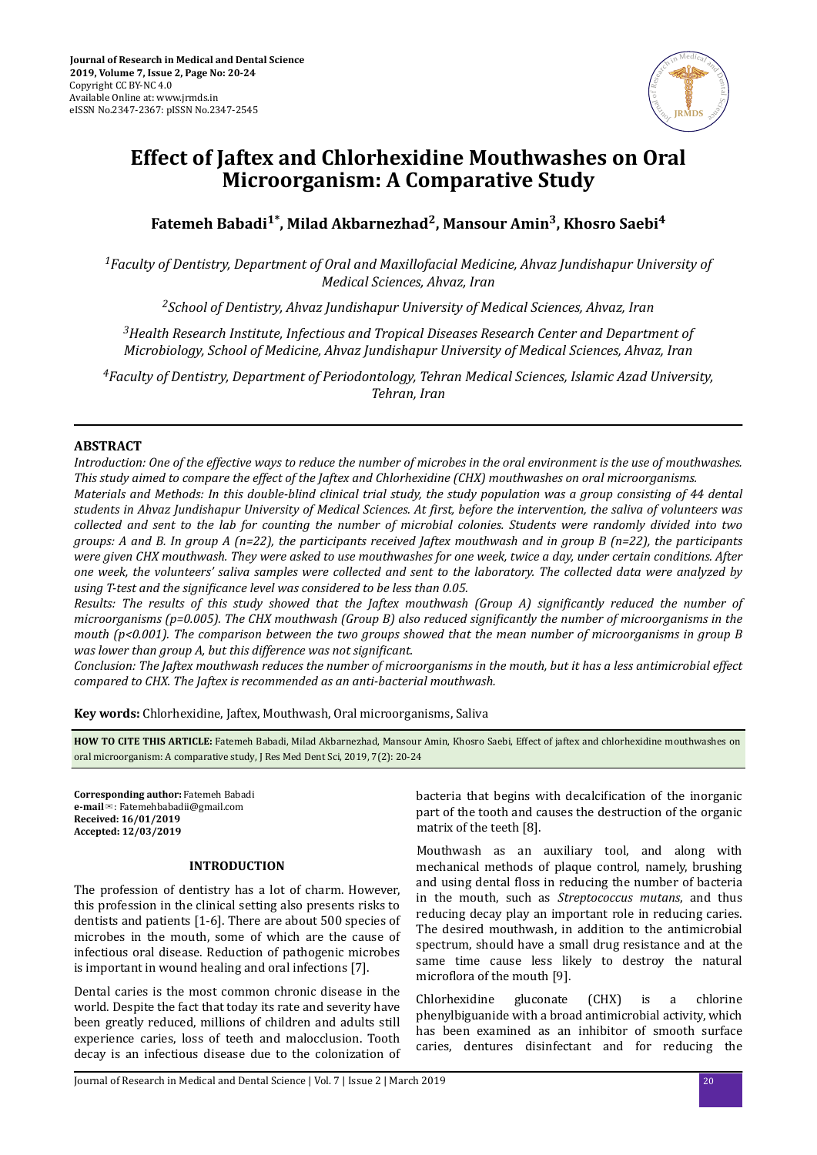

# **Effect of Jaftex and Chlorhexidine Mouthwashes on Oral Microorganism: A Comparative Study**

**Fatemeh Babadi1\*, Milad Akbarnezhad<sup>2</sup> , Mansour Amin<sup>3</sup> , Khosro Saebi<sup>4</sup>**

*<sup>1</sup>Faculty of Dentistry, Department of Oral and Maxillofacial Medicine, Ahvaz Jundishapur University of Medical Sciences, Ahvaz, Iran*

*<sup>2</sup>School of Dentistry, Ahvaz Jundishapur University of Medical Sciences, Ahvaz, Iran*

*<sup>3</sup>Health Research Institute, Infectious and Tropical Diseases Research Center and Department of Microbiology, School of Medicine, Ahvaz Jundishapur University of Medical Sciences, Ahvaz, Iran*

*<sup>4</sup>Faculty of Dentistry, Department of Periodontology, Tehran Medical Sciences, Islamic Azad University, Tehran, Iran*

# **ABSTRACT**

*Introduction: One of the effective ways to reduce the number of microbes in the oral environment is the use of mouthwashes. This study aimed to compare the effect of the Jaftex and Chlorhexidine (CHX) mouthwashes on oral microorganisms. Materials and Methods: In this double-blind clinical trial study, the study population was a group consisting of 44 dental students in Ahvaz Jundishapur University of Medical Sciences. At ϔrstǡ before the intervention, the saliva of volunteers was collected and sent to the lab for counting the number of microbial colonies. Students were randomly divided into two groups: A and B. In group A (n=22), the participants received Jaftex mouthwash and in group B (n=22), the participants were given CHX mouthwash. They were asked to use mouthwashes for one week, twice a day, under certain conditions. After one week, the volunteers' saliva samples were collected and sent to the laboratory. The collected data were analyzed by using T-test and the significance level was considered to be less than 0.05.* 

*Results: The results of this study showed that the Jaftex mouthwash (Group A) significantly reduced the number of microorganisms (p=0.005). The CHX mouthwash (Group B) also reduced significantly the number of microorganisms in the mouth (p<0.001). The comparison between the two groups showed that the mean number of microorganisms in group B was lower than group A, but this difference was not significant.* 

*Conclusion: The Jaftex mouthwash reduces the number of microorganisms in the mouth, but it has a less antimicrobial effect compared to CHX. The Jaftex is recommended as an anti-bacterial mouthwash.*

**Key words:** Chlorhexidine, Jaftex, Mouthwash, Oral microorganisms, Saliva

**HOW TO CITE THIS ARTICLE:** Fatemeh Babadi, Milad Akbarnezhad, Mansour Amin, Khosro Saebi, Effect of jaftex and chlorhexidine mouthwashes on oral microorganism: A comparative study, J Res Med Dent Sci, 2019, 7(2): 20-24

**Corresponding author:** Fatemeh Babadi **e-mail**✉: Fatemehbabadii@gmail.com **Received: 16/01/2019 Accepted: 12/03/2019**

# **INTRODUCTION**

The profession of dentistry has a lot of charm. However, this profession in the clinical setting also presents risks to dentists and patients [1-6]. There are about 500 species of microbes in the mouth, some of which are the cause of infectious oral disease. Reduction of pathogenic microbes is important in wound healing and oral infections [7].

Dental caries is the most common chronic disease in the world. Despite the fact that today its rate and severity have been greatly reduced, millions of children and adults still experience caries, loss of teeth and malocclusion. Tooth decay is an infectious disease due to the colonization of bacteria that begins with decalcification of the inorganic part of the tooth and causes the destruction of the organic matrix of the teeth [8].

Mouthwash as an auxiliary tool, and along with mechanical methods of plaque control, namely, brushing and using dental floss in reducing the number of bacteria in the mouth, such as *Streptococcus mutans*, and thus reducing decay play an important role in reducing caries. The desired mouthwash, in addition to the antimicrobial spectrum, should have a small drug resistance and at the same time cause less likely to destroy the natural microflora of the mouth [9].

Chlorhexidine gluconate (CHX) is a chlorine phenylbiguanide with a broad antimicrobial activity, which has been examined as an inhibitor of smooth surface caries, dentures disinfectant and for reducing the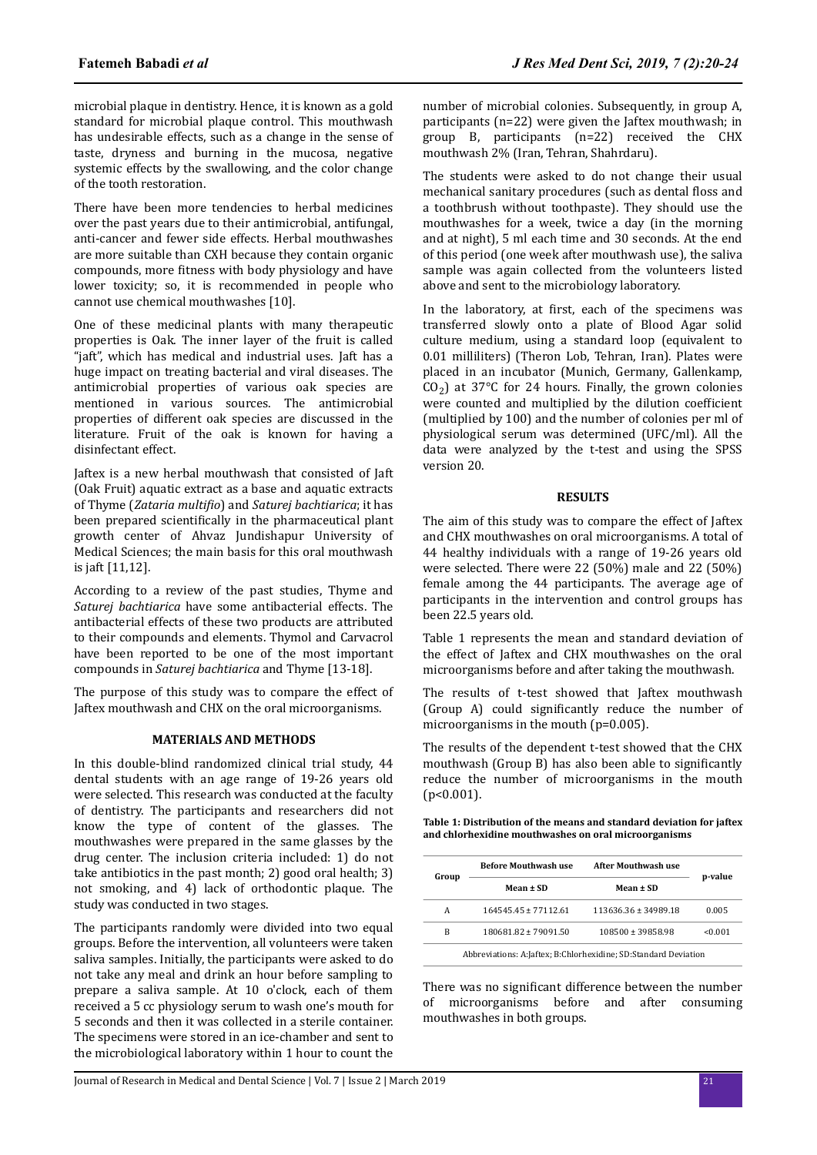microbial plaque in dentistry. Hence, it is known as a gold standard for microbial plaque control. This mouthwash has undesirable effects, such as a change in the sense of taste, dryness and burning in the mucosa, negative systemic effects by the swallowing, and the color change of the tooth restoration.

There have been more tendencies to herbal medicines over the past years due to their antimicrobial, antifungal, anti-cancer and fewer side effects. Herbal mouthwashes are more suitable than CXH because they contain organic compounds, more fitness with body physiology and have lower toxicity; so, it is recommended in people who cannot use chemical mouthwashes [10].

One of these medicinal plants with many therapeutic properties is Oak. The inner layer of the fruit is called "jaft", which has medical and industrial uses. Jaft has a huge impact on treating bacterial and viral diseases. The antimicrobial properties of various oak species are mentioned in various sources. The antimicrobial properties of different oak species are discussed in the literature. Fruit of the oak is known for having a disinfectant effect.

Jaftex is a new herbal mouthwash that consisted of Jaft (Oak Fruit) aquatic extract as a base and aquatic extracts of Thyme (*Zataria multϔo*) and *Saturej bachtiarica*; it has been prepared scientifically in the pharmaceutical plant growth center of Ahvaz Jundishapur University of Medical Sciences; the main basis for this oral mouthwash is jaft [11,12].

According to a review of the past studies, Thyme and *Saturej bachtiarica* have some antibacterial effects. The antibacterial effects of these two products are attributed to their compounds and elements. Thymol and Carvacrol have been reported to be one of the most important compounds in *Saturej bachtiarica* and Thyme [13-18].

The purpose of this study was to compare the effect of Jaftex mouthwash and CHX on the oral microorganisms.

## **MATERIALS AND METHODS**

In this double-blind randomized clinical trial study, 44 dental students with an age range of 19-26 years old were selected. This research was conducted at the faculty of dentistry. The participants and researchers did not know the type of content of the glasses. The mouthwashes were prepared in the same glasses by the drug center. The inclusion criteria included: 1) do not take antibiotics in the past month; 2) good oral health; 3) not smoking, and 4) lack of orthodontic plaque. The study was conducted in two stages.

The participants randomly were divided into two equal groups. Before the intervention, all volunteers were taken saliva samples. Initially, the participants were asked to do not take any meal and drink an hour before sampling to prepare a saliva sample. At 10 o'clock, each of them received a 5 cc physiology serum to wash one's mouth for 5 seconds and then it was collected in a sterile container. The specimens were stored in an ice-chamber and sent to the microbiological laboratory within 1 hour to count the

number of microbial colonies. Subsequently, in group A, participants (n=22) were given the Jaftex mouthwash; in group B, participants (n=22) received the CHX mouthwash 2% (Iran, Tehran, Shahrdaru).

The students were asked to do not change their usual mechanical sanitary procedures (such as dental floss and a toothbrush without toothpaste). They should use the mouthwashes for a week, twice a day (in the morning and at night), 5 ml each time and 30 seconds. At the end of this period (one week after mouthwash use), the saliva sample was again collected from the volunteers listed above and sent to the microbiology laboratory.

In the laboratory, at first, each of the specimens was transferred slowly onto a plate of Blood Agar solid culture medium, using a standard loop (equivalent to 0.01 milliliters) (Theron Lob, Tehran, Iran). Plates were placed in an incubator (Munich, Germany, Gallenkamp,  $CO<sub>2</sub>$ ) at 37°C for 24 hours. Finally, the grown colonies were counted and multiplied by the dilution coefficient (multiplied by 100) and the number of colonies per ml of physiological serum was determined (UFC/ml). All the data were analyzed by the t-test and using the SPSS version 20.

## **RESULTS**

The aim of this study was to compare the effect of Jaftex and CHX mouthwashes on oral microorganisms. A total of 44 healthy individuals with a range of 19-26 years old were selected. There were 22 (50%) male and 22 (50%) female among the 44 participants. The average age of participants in the intervention and control groups has been 22.5 years old.

Table 1 represents the mean and standard deviation of the effect of Jaftex and CHX mouthwashes on the oral microorganisms before and after taking the mouthwash.

The results of t-test showed that Jaftex mouthwash (Group A) could significantly reduce the number of microorganisms in the mouth (p=0.005).

The results of the dependent t-test showed that the CHX mouthwash (Group B) has also been able to significantly reduce the number of microorganisms in the mouth (p<0.001).

**Table 1: Distribution of the means and standard deviation for jaftex and chlorhexidine mouthwashes on oral microorganisms**

| Group                                                           | <b>Before Mouthwash use</b> | After Mouthwash use                   | p-value |  |
|-----------------------------------------------------------------|-----------------------------|---------------------------------------|---------|--|
|                                                                 | Mean $\pm$ SD               | Mean $\pm$ SD<br>113636.36 ± 34989.18 |         |  |
| А                                                               | $16454545 \pm 7711261$      |                                       | 0.005   |  |
| B                                                               | 180681.82 ± 79091.50        | 108500 ± 39858.98                     | < 0.001 |  |
| Abbreviations: A:Jaftex; B:Chlorhexidine; SD:Standard Deviation |                             |                                       |         |  |

There was no significant difference between the number of microorganisms before and after consuming mouthwashes in both groups.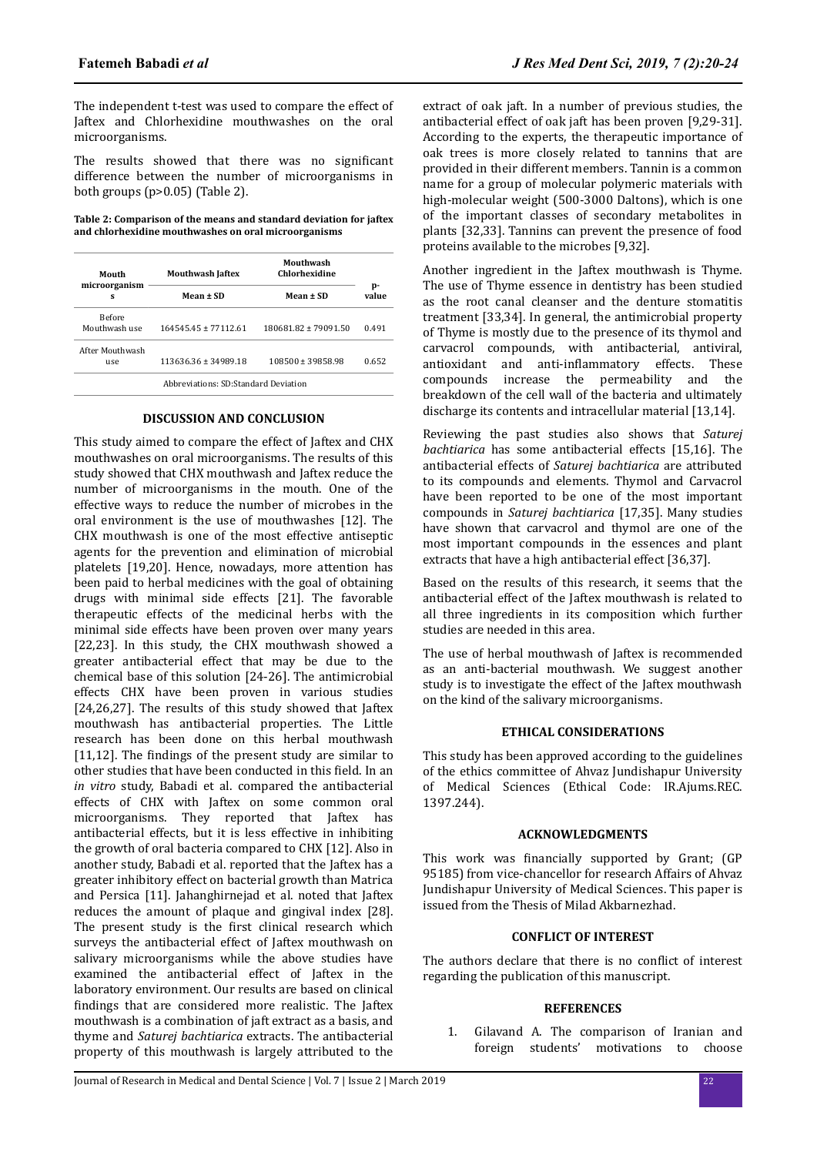The independent t-test was used to compare the effect of Jaftex and Chlorhexidine mouthwashes on the oral microorganisms.

The results showed that there was no significant difference between the number of microorganisms in both groups (p>0.05) (Table 2).

**Table 2: Comparison of the means and standard deviation for jaftex and chlorhexidine mouthwashes on oral microorganisms**

| Mouth                          | <b>Mouthwash Jaftex</b>              | Mouthwash<br>Chlorhexidine |             |
|--------------------------------|--------------------------------------|----------------------------|-------------|
| microorganism<br>s             | Mean $\pm$ SD                        | Mean $\pm$ SD              | p-<br>value |
| <b>Before</b><br>Mouthwash use | $16454545 + 7711261$                 | 180681.82 ± 79091.50       | 0.491       |
| After Mouthwash<br>use         | 113636.36 ± 34989.18                 | 108500 ± 39858.98          | 0.652       |
|                                | Abbreviations: SD:Standard Deviation |                            |             |

# **DISCUSSION AND CONCLUSION**

This study aimed to compare the effect of Jaftex and CHX mouthwashes on oral microorganisms. The results of this study showed that CHX mouthwash and Jaftex reduce the number of microorganisms in the mouth. One of the effective ways to reduce the number of microbes in the oral environment is the use of mouthwashes [12]. The CHX mouthwash is one of the most effective antiseptic agents for the prevention and elimination of microbial platelets [19,20]. Hence, nowadays, more attention has been paid to herbal medicines with the goal of obtaining drugs with minimal side effects [21]. The favorable therapeutic effects of the medicinal herbs with the minimal side effects have been proven over many years [22,23]. In this study, the CHX mouthwash showed a greater antibacterial effect that may be due to the chemical base of this solution [24-26]. The antimicrobial effects CHX have been proven in various studies [24,26,27]. The results of this study showed that Jaftex mouthwash has antibacterial properties. The Little research has been done on this herbal mouthwash  $[11,12]$ . The findings of the present study are similar to other studies that have been conducted in this field. In an *in vitro* study, Babadi et al. compared the antibacterial effects of CHX with Jaftex on some common oral microorganisms. They reported that Jaftex has antibacterial effects, but it is less effective in inhibiting the growth of oral bacteria compared to CHX [12]. Also in another study, Babadi et al. reported that the Jaftex has a greater inhibitory effect on bacterial growth than Matrica and Persica [11]. Jahanghirnejad et al. noted that Jaftex reduces the amount of plaque and gingival index [28]. The present study is the first clinical research which surveys the antibacterial effect of Jaftex mouthwash on salivary microorganisms while the above studies have examined the antibacterial effect of Jaftex in the laboratory environment. Our results are based on clinical findings that are considered more realistic. The Jaftex mouthwash is a combination of jaft extract as a basis, and thyme and *Saturej bachtiarica* extracts. The antibacterial property of this mouthwash is largely attributed to the extract of oak jaft. In a number of previous studies, the antibacterial effect of oak jaft has been proven [9,29-31]. According to the experts, the therapeutic importance of oak trees is more closely related to tannins that are provided in their different members. Tannin is a common name for a group of molecular polymeric materials with high-molecular weight (500-3000 Daltons), which is one of the important classes of secondary metabolites in plants [32,33]. Tannins can prevent the presence of food proteins available to the microbes [9,32].

Another ingredient in the Jaftex mouthwash is Thyme. The use of Thyme essence in dentistry has been studied as the root canal cleanser and the denture stomatitis treatment [33,34]. In general, the antimicrobial property of Thyme is mostly due to the presence of its thymol and carvacrol compounds, with antibacterial, antiviral, antioxidant and anti-inflammatory effects. These compounds increase the permeability and the breakdown of the cell wall of the bacteria and ultimately discharge its contents and intracellular material [13,14].

Reviewing the past studies also shows that *Saturej bachtiarica* has some antibacterial effects [15,16]. The antibacterial effects of *Saturej bachtiarica* are attributed to its compounds and elements. Thymol and Carvacrol have been reported to be one of the most important compounds in *Saturej bachtiarica* [17,35]. Many studies have shown that carvacrol and thymol are one of the most important compounds in the essences and plant extracts that have a high antibacterial effect [36,37].

Based on the results of this research, it seems that the antibacterial effect of the Jaftex mouthwash is related to all three ingredients in its composition which further studies are needed in this area.

The use of herbal mouthwash of Jaftex is recommended as an anti-bacterial mouthwash. We suggest another study is to investigate the effect of the Jaftex mouthwash on the kind of the salivary microorganisms.

## **ETHICAL CONSIDERATIONS**

This study has been approved according to the guidelines of the ethics committee of Ahvaz Jundishapur University of Medical Sciences (Ethical Code: IR.Ajums.REC. 1397.244).

## **ACKNOWLEDGMENTS**

This work was financially supported by Grant; (GP 95185) from vice-chancellor for research Affairs of Ahvaz Jundishapur University of Medical Sciences. This paper is issued from the Thesis of Milad Akbarnezhad.

# **CONFLICT OF INTEREST**

The authors declare that there is no conflict of interest regarding the publication of this manuscript.

## **REFERENCES**

1. Gilavand A. The comparison of Iranian and foreign students' motivations to choose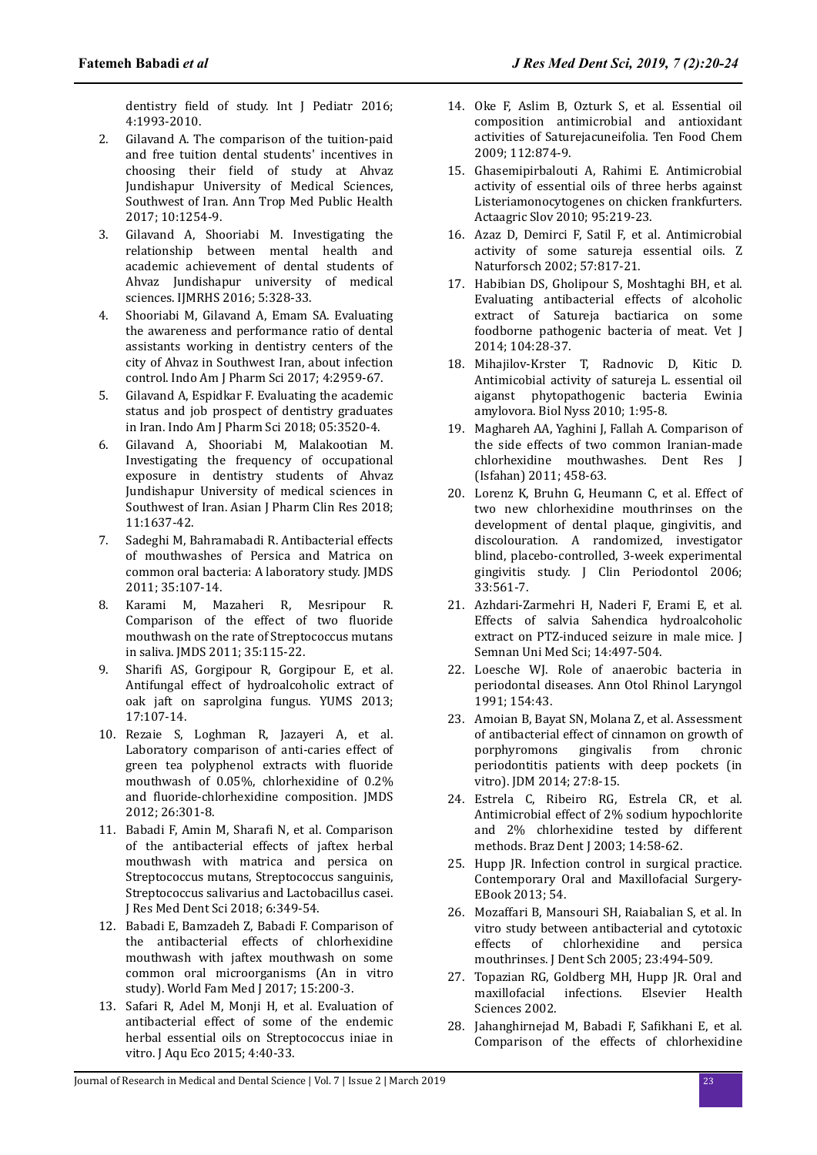dentistry field of study. Int J Pediatr 2016; 4:1993-2010.

- 2. Gilavand A. The comparison of the tuition-paid and free tuition dental students' incentives in choosing their field of study at Ahvaz Jundishapur University of Medical Sciences, Southwest of Iran. Ann Trop Med Public Health 2017; 10:1254-9.
- 3. Gilavand A, Shooriabi M. Investigating the relationship between mental health and academic achievement of dental students of Ahvaz Iundishapur university of medical sciences. IJMRHS 2016; 5:328-33.
- 4. Shooriabi M, Gilavand A, Emam SA. Evaluating the awareness and performance ratio of dental assistants working in dentistry centers of the city of Ahvaz in Southwest Iran, about infection control. Indo Am J Pharm Sci 2017; 4:2959-67.
- 5. Gilavand A, Espidkar F. Evaluating the academic status and job prospect of dentistry graduates in Iran. Indo Am J Pharm Sci 2018; 05:3520-4.
- 6. Gilavand A, Shooriabi M, Malakootian M. Investigating the frequency of occupational exposure in dentistry students of Ahvaz Jundishapur University of medical sciences in Southwest of Iran. Asian I Pharm Clin Res 2018: 11:1637-42.
- 7. Sadeghi M, Bahramabadi R. Antibacterial effects of mouthwashes of Persica and Matrica on common oral bacteria: A laboratory study. JMDS 2011; 35:107-14.
- 8. Karami M, Mazaheri R, Mesripour R. Comparison of the effect of two fluoride mouthwash on the rate of Streptococcus mutans in saliva. JMDS 2011; 35:115-22.
- 9. Sharifi AS, Gorgipour R, Gorgipour E, et al. Antifungal effect of hydroalcoholic extract of oak jaft on saprolgina fungus. YUMS 2013; 17:107-14.
- 10. Rezaie S, Loghman R, Jazayeri A, et al. Laboratory comparison of anti-caries effect of green tea polyphenol extracts with fluoride mouthwash of 0.05%, chlorhexidine of 0.2% and fluoride-chlorhexidine composition. JMDS 2012; 26:301-8.
- 11. Babadi F, Amin M, Sharafi N, et al. Comparison of the antibacterial effects of jaftex herbal mouthwash with matrica and persica on Streptococcus mutans, Streptococcus sanguinis, Streptococcus salivarius and Lactobacillus casei. J Res Med Dent Sci 2018; 6:349-54.
- 12. Babadi E, Bamzadeh Z, Babadi F. Comparison of the antibacterial effects of chlorhexidine mouthwash with jaftex mouthwash on some common oral microorganisms (An in vitro study). World Fam Med J 2017; 15:200-3.
- 13. Safari R, Adel M, Monji H, et al. Evaluation of antibacterial effect of some of the endemic herbal essential oils on Streptococcus iniae in vitro. J Aqu Eco 2015; 4:40-33.
- 14. Oke F, Aslim B, Ozturk S, et al. Essential oil composition antimicrobial and antioxidant activities of Saturejacuneifolia. Ten Food Chem 2009; 112:874-9.
- 15. Ghasemipirbalouti A, Rahimi E. Antimicrobial activity of essential oils of three herbs against Listeriamonocytogenes on chicken frankfurters. Actaagric Slov 2010; 95:219-23.
- 16. Azaz D, Demirci F, Satil F, et al. Antimicrobial activity of some satureja essential oils. Z Naturforsch 2002; 57:817-21.
- 17. Habibian DS, Gholipour S, Moshtaghi BH, et al. Evaluating antibacterial effects of alcoholic extract of Satureja bactiarica on some foodborne pathogenic bacteria of meat. Vet J 2014; 104:28-37.
- 18. Mihajilov-Krster T, Radnovic D, Kitic D. Antimicobial activity of satureja L. essential oil aiganst phytopathogenic bacteria Ewinia amylovora. Biol Nyss 2010; 1:95-8.
- 19. Maghareh AA, Yaghini J, Fallah A. Comparison of the side effects of two common Iranian-made chlorhexidine mouthwashes. Dent Res J (Isfahan) 2011; 458-63.
- 20. Lorenz K, Bruhn G, Heumann C, et al. Effect of two new chlorhexidine mouthrinses on the development of dental plaque, gingivitis, and discolouration. A randomized, investigator blind, placebo-controlled, 3-week experimental gingivitis study. J Clin Periodontol 2006; 33:561-7.
- 21. Azhdari-Zarmehri H, Naderi F, Erami E, et al. Effects of salvia Sahendica hydroalcoholic extract on PTZ-induced seizure in male mice. J Semnan Uni Med Sci; 14:497-504.
- 22. Loesche WJ. Role of anaerobic bacteria in periodontal diseases. Ann Otol Rhinol Laryngol 1991; 154:43.
- 23. Amoian B, Bayat SN, Molana Z, et al. Assessment of antibacterial effect of cinnamon on growth of porphyromons gingivalis from chronic periodontitis patients with deep pockets (in vitro). JDM 2014; 27:8-15.
- 24. Estrela C, Ribeiro RG, Estrela CR, et al. Antimicrobial effect of 2% sodium hypochlorite and 2% chlorhexidine tested by different methods. Braz Dent J 2003; 14:58-62.
- 25. Hupp JR. Infection control in surgical practice. Contemporary Oral and Maxillofacial Surgery-EBook 2013; 54.
- 26. Mozaffari B, Mansouri SH, Raiabalian S, et al. In vitro study between antibacterial and cytotoxic effects of chlorhexidine and persica mouthrinses. J Dent Sch 2005; 23:494-509.
- 27. Topazian RG, Goldberg MH, Hupp JR. Oral and maxillofacial infections. Elsevier Health Sciences 2002.
- 28. Jahanghirnejad M, Babadi F, Safikhani E, et al. Comparison of the effects of chlorhexidine